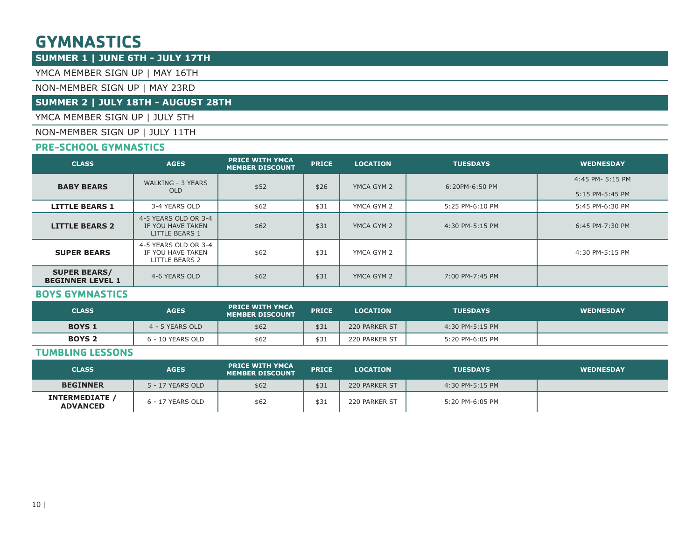## **GYMNASTICS**

### **SUMMER 1 | JUNE 6TH - JULY 17TH**

YMCA MEMBER SIGN UP | MAY 16TH

#### NON-MEMBER SIGN UP | MAY 23RD

### **SUMMER 2 | JULY 18TH - AUGUST 28TH**

YMCA MEMBER SIGN UP | JULY 5TH

NON-MEMBER SIGN UP | JULY 11TH

### **PRE-SCHOOL GYMNASTICS**

| <b>CLASS</b>                                   | <b>AGES</b>                                                        | <b>PRICE WITH YMCA</b><br><b>MEMBER DISCOUNT</b> | <b>PRICE</b> | <b>LOCATION</b> | <b>TUESDAYS</b> | <b>WEDNESDAY</b>                    |
|------------------------------------------------|--------------------------------------------------------------------|--------------------------------------------------|--------------|-----------------|-----------------|-------------------------------------|
| <b>BABY BEARS</b>                              | WALKING - 3 YEARS<br><b>OLD</b>                                    | \$52                                             | \$26         | YMCA GYM 2      | 6:20PM-6:50 PM  | 4:45 PM- 5:15 PM<br>5:15 PM-5:45 PM |
| <b>LITTLE BEARS 1</b>                          | 3-4 YEARS OLD                                                      | \$62                                             | \$31         | YMCA GYM 2      | 5:25 PM-6:10 PM | 5:45 PM-6:30 PM                     |
| <b>LITTLE BEARS 2</b>                          | 4-5 YEARS OLD OR 3-4<br>IF YOU HAVE TAKEN<br><b>LITTLE BEARS 1</b> | \$62                                             | \$31         | YMCA GYM 2      | 4:30 PM-5:15 PM | 6:45 PM-7:30 PM                     |
| <b>SUPER BEARS</b>                             | 4-5 YEARS OLD OR 3-4<br>IF YOU HAVE TAKEN<br>LITTLE BEARS 2        | \$62                                             | \$31         | YMCA GYM 2      |                 | 4:30 PM-5:15 PM                     |
| <b>SUPER BEARS/</b><br><b>BEGINNER LEVEL 1</b> | 4-6 YEARS OLD                                                      | \$62                                             | \$31         | YMCA GYM 2      | 7:00 PM-7:45 PM |                                     |

### **BOYS GYMNASTICS**

| <b>CLASS</b>  | <b>AGES</b>      | <b>PRICE WITH YMCA</b><br><b>MEMBER DISCOUNT</b> | <b>PRICE</b> | <b>LOCATION</b> | <b>TUESDAYS</b> | <b>WEDNESDAY</b> |
|---------------|------------------|--------------------------------------------------|--------------|-----------------|-----------------|------------------|
| <b>BOYS 1</b> | 4 - 5 YEARS OLD  | \$62                                             | \$31         | 220 PARKER ST   | 4:30 PM-5:15 PM |                  |
| <b>BOYS 2</b> | 6 - 10 YEARS OLD | \$62                                             | \$31         | 220 PARKER ST   | 5:20 PM-6:05 PM |                  |

### **TUMBLING LESSONS**

| <b>CLASS</b>                             | <b>AGES</b>      | <b>PRICE WITH YMCA</b><br><b>MEMBER DISCOUNT</b> | <b>PRICE</b> | <b>LOCATION</b> | <b>TUESDAYS</b> | <b>WEDNESDAY</b> |
|------------------------------------------|------------------|--------------------------------------------------|--------------|-----------------|-----------------|------------------|
| <b>BEGINNER</b>                          | 5 - 17 YEARS OLD | \$62                                             | \$31         | 220 PARKER ST   | 4:30 PM-5:15 PM |                  |
| <b>INTERMEDIATE /</b><br><b>ADVANCED</b> | 6 - 17 YEARS OLD | \$62                                             | \$31         | 220 PARKER ST   | 5:20 PM-6:05 PM |                  |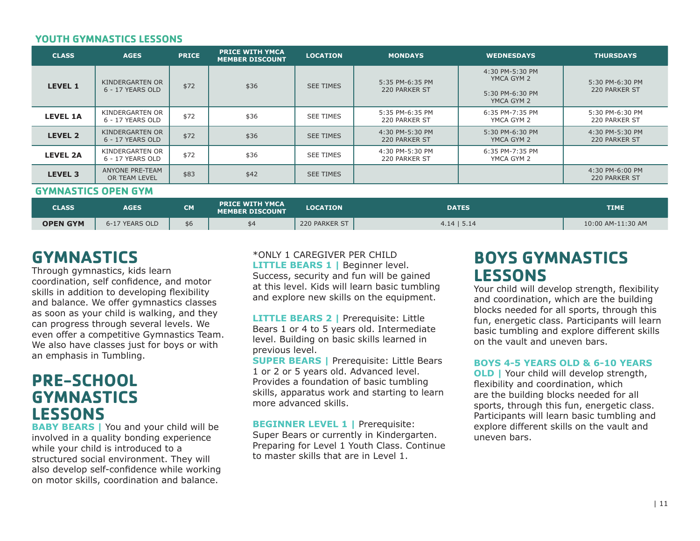#### **YOUTH GYMNASTICS LESSONS**

| <b>CLASS</b>               | <b>AGES</b>                         | <b>PRICE</b> | <b>PRICE WITH YMCA</b><br><b>MEMBER DISCOUNT</b> | <b>LOCATION</b>  | <b>MONDAYS</b>                   | <b>WEDNESDAYS</b>                                              | <b>THURSDAYS</b>                 |  |
|----------------------------|-------------------------------------|--------------|--------------------------------------------------|------------------|----------------------------------|----------------------------------------------------------------|----------------------------------|--|
| <b>LEVEL 1</b>             | KINDERGARTEN OR<br>6 - 17 YEARS OLD | \$72         | \$36                                             | <b>SEE TIMES</b> | 5:35 PM-6:35 PM<br>220 PARKER ST | 4:30 PM-5:30 PM<br>YMCA GYM 2<br>5:30 PM-6:30 PM<br>YMCA GYM 2 | 5:30 PM-6:30 PM<br>220 PARKER ST |  |
| <b>LEVEL 1A</b>            | KINDERGARTEN OR<br>6 - 17 YEARS OLD | \$72         | \$36                                             | <b>SEE TIMES</b> | 5:35 PM-6:35 PM<br>220 PARKER ST | 6:35 PM-7:35 PM<br>YMCA GYM 2                                  | 5:30 PM-6:30 PM<br>220 PARKER ST |  |
| <b>LEVEL 2</b>             | KINDERGARTEN OR<br>6 - 17 YEARS OLD | \$72         | \$36                                             | <b>SEE TIMES</b> | 4:30 PM-5:30 PM<br>220 PARKER ST | 5:30 PM-6:30 PM<br>YMCA GYM 2                                  | 4:30 PM-5:30 PM<br>220 PARKER ST |  |
| <b>LEVEL 2A</b>            | KINDERGARTEN OR<br>6 - 17 YEARS OLD | \$72         | \$36                                             | <b>SEE TIMES</b> | 4:30 PM-5:30 PM<br>220 PARKER ST | 6:35 PM-7:35 PM<br>YMCA GYM 2                                  |                                  |  |
| <b>LEVEL 3</b>             | ANYONE PRE-TEAM<br>OR TEAM LEVEL    | \$83         | \$42                                             | <b>SEE TIMES</b> |                                  |                                                                | 4:30 PM-6:00 PM<br>220 PARKER ST |  |
| <b>GYMNASTICS OPEN GYM</b> |                                     |              |                                                  |                  |                                  |                                                                |                                  |  |
| <b>CLASS</b>               | <b>AGES</b>                         | <b>CM</b>    | <b>PRICE WITH YMCA</b><br><b>MEMBER DISCOUNT</b> | <b>LOCATION</b>  | <b>DATES</b>                     |                                                                | <b>TIME</b>                      |  |

## **GYMNASTICS**

Through gymnastics, kids learn coordination, self confidence, and motor skills in addition to developing flexibility and balance. We offer gymnastics classes as soon as your child is walking, and they can progress through several levels. We even offer a competitive Gymnastics Team. We also have classes just for boys or with an emphasis in Tumbling.

## **PRE-SCHOOL GYMNASTICS LESSONS**

**BABY BEARS | You and your child will be** involved in a quality bonding experience while your child is introduced to a structured social environment. They will also develop self-confidence while working on motor skills, coordination and balance.

#### \*ONLY 1 CAREGIVER PER CHILD **LITTLE BEARS 1 | Beginner level.** Success, security and fun will be gained at this level. Kids will learn basic tumbling and explore new skills on the equipment.

**OPEN GYM** | 6-17 YEARS OLD | \$6 | \$4 220 PARKER ST | 4.14 | 5.14 10:00 AM-11:30 AM

**LITTLE BEARS 2 |** Prerequisite: Little Bears 1 or 4 to 5 years old. Intermediate level. Building on basic skills learned in previous level.

**SUPER BEARS |** Prerequisite: Little Bears 1 or 2 or 5 years old. Advanced level. Provides a foundation of basic tumbling skills, apparatus work and starting to learn more advanced skills.

**BEGINNER LEVEL 1 | Prerequisite:** Super Bears or currently in Kindergarten. Preparing for Level 1 Youth Class. Continue to master skills that are in Level 1.

## **BOYS GYMNASTICS LESSONS**

Your child will develop strength, flexibility and coordination, which are the building blocks needed for all sports, through this fun, energetic class. Participants will learn basic tumbling and explore different skills on the vault and uneven bars.

#### **BOYS 4-5 YEARS OLD & 6-10 YEARS**

**OLD** | Your child will develop strength, flexibility and coordination, which are the building blocks needed for all sports, through this fun, energetic class. Participants will learn basic tumbling and explore different skills on the vault and uneven bars.